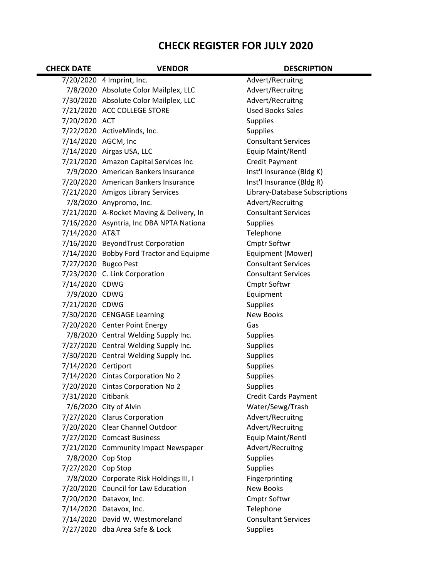## **CHECK REGISTER FOR JULY 2020**

| <b>CHECK DATE</b>   | <b>VENDOR</b>                            | <b>DESCRIPTION</b>             |
|---------------------|------------------------------------------|--------------------------------|
|                     | 7/20/2020 4 Imprint, Inc.                | Advert/Recruitng               |
|                     | 7/8/2020 Absolute Color Mailplex, LLC    | Advert/Recruitng               |
|                     | 7/30/2020 Absolute Color Mailplex, LLC   | Advert/Recruitng               |
|                     | 7/21/2020 ACC COLLEGE STORE              | <b>Used Books Sales</b>        |
| 7/20/2020 ACT       |                                          | <b>Supplies</b>                |
|                     | 7/22/2020 ActiveMinds, Inc.              | <b>Supplies</b>                |
|                     | 7/14/2020 AGCM, Inc                      | <b>Consultant Services</b>     |
|                     | 7/14/2020 Airgas USA, LLC                | Equip Maint/Rentl              |
|                     | 7/21/2020 Amazon Capital Services Inc    | <b>Credit Payment</b>          |
|                     | 7/9/2020 American Bankers Insurance      | Inst'l Insurance (Bldg K)      |
|                     | 7/20/2020 American Bankers Insurance     | Inst'l Insurance (Bldg R)      |
|                     | 7/21/2020 Amigos Library Services        | Library-Database Subscriptions |
|                     | 7/8/2020 Anypromo, Inc.                  | Advert/Recruitng               |
|                     | 7/21/2020 A-Rocket Moving & Delivery, In | <b>Consultant Services</b>     |
|                     | 7/16/2020 Asyntria, Inc DBA NPTA Nationa | <b>Supplies</b>                |
| 7/14/2020 AT&T      |                                          | Telephone                      |
|                     | 7/16/2020 BeyondTrust Corporation        | Cmptr Softwr                   |
|                     | 7/14/2020 Bobby Ford Tractor and Equipme | Equipment (Mower)              |
|                     | 7/27/2020 Bugco Pest                     | <b>Consultant Services</b>     |
|                     | 7/23/2020 C. Link Corporation            | <b>Consultant Services</b>     |
| 7/14/2020 CDWG      |                                          | Cmptr Softwr                   |
| 7/9/2020 CDWG       |                                          | Equipment                      |
| 7/21/2020 CDWG      |                                          | <b>Supplies</b>                |
|                     | 7/30/2020 CENGAGE Learning               | <b>New Books</b>               |
|                     | 7/20/2020 Center Point Energy            | Gas                            |
|                     | 7/8/2020 Central Welding Supply Inc.     | <b>Supplies</b>                |
|                     | 7/27/2020 Central Welding Supply Inc.    | <b>Supplies</b>                |
|                     | 7/30/2020 Central Welding Supply Inc.    | Supplies                       |
| 7/14/2020 Certiport |                                          | <b>Supplies</b>                |
|                     | 7/14/2020 Cintas Corporation No 2        | <b>Supplies</b>                |
|                     | 7/20/2020 Cintas Corporation No 2        | <b>Supplies</b>                |
| 7/31/2020 Citibank  |                                          | <b>Credit Cards Payment</b>    |
|                     | 7/6/2020 City of Alvin                   | Water/Sewg/Trash               |
|                     | 7/27/2020 Clarus Corporation             | Advert/Recruitng               |
|                     | 7/20/2020 Clear Channel Outdoor          | Advert/Recruitng               |
|                     | 7/27/2020 Comcast Business               | Equip Maint/Rentl              |
|                     | 7/21/2020 Community Impact Newspaper     | Advert/Recruitng               |
| 7/8/2020 Cop Stop   |                                          | <b>Supplies</b>                |
| 7/27/2020 Cop Stop  |                                          | <b>Supplies</b>                |
|                     | 7/8/2020 Corporate Risk Holdings III, I  | Fingerprinting                 |
|                     | 7/20/2020 Council for Law Education      | <b>New Books</b>               |
|                     | 7/20/2020 Datavox, Inc.                  | <b>Cmptr Softwr</b>            |
|                     | 7/14/2020 Datavox, Inc.                  | Telephone                      |
|                     | 7/14/2020 David W. Westmoreland          | <b>Consultant Services</b>     |
|                     | 7/27/2020 dba Area Safe & Lock           | <b>Supplies</b>                |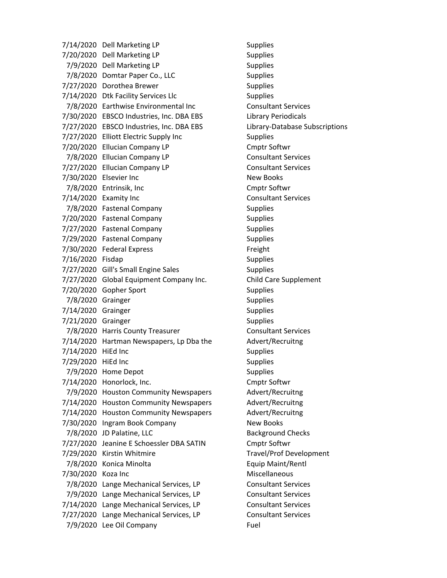7/14/2020 Dell Marketing LP Supplies 7/20/2020 Dell Marketing LP Supplies 7/9/2020 Dell Marketing LP Supplies 7/8/2020 Domtar Paper Co., LLC Supplies 7/27/2020 Dorothea Brewer Supplies 7/14/2020 Dtk Facility Services Llc Supplies 7/8/2020 Earthwise Environmental Inc Consultant Services 7/30/2020 EBSCO Industries, Inc. DBA EBS Library Periodicals 7/27/2020 EBSCO Industries, Inc. DBA EBS Library‐Database Subscriptions 7/27/2020 Elliott Electric Supply Inc Supplies 7/20/2020 Ellucian Company LP Cmptr Softwr 7/8/2020 Ellucian Company LP Consultant Services 7/27/2020 Ellucian Company LP Consultant Services 7/30/2020 Elsevier Inc New Books 7/8/2020 Entrinsik, Inc Cmptr Softwr 7/14/2020 Examity Inc **Consultant Services** 7/8/2020 Fastenal Company Supplies 7/20/2020 Fastenal Company Supplies 7/27/2020 Fastenal Company Supplies 7/29/2020 Fastenal Company Supplies 7/30/2020 Federal Express Freight 7/16/2020 Fisdap Supplies 7/27/2020 Gill's Small Engine Sales Supplies 7/27/2020 Global Equipment Company Inc. Child Care Supplement 7/20/2020 Gopher Sport Supplies 7/8/2020 Grainger Supplies 7/14/2020 Grainger Supplies 7/21/2020 Grainger Supplies 7/8/2020 Harris County Treasurer Consultant Services 7/14/2020 Hartman Newspapers, Lp Dba the Advert/Recruitng 7/14/2020 HiEd Inc Supplies 7/29/2020 HiEd Inc Supplies 7/9/2020 Home Depot 7/14/2020 Honorlock, Inc. Cmptr Softwr 7/9/2020 Houston Community Newspapers Advert/Recruitng 7/14/2020 Houston Community Newspapers Advert/Recruitng 7/14/2020 Houston Community Newspapers Advert/Recruitng 7/30/2020 Ingram Book Company New Books 7/8/2020 JD Palatine, LLC Background Checks 7/27/2020 Jeanine E Schoessler DBA SATIN Cmptr Softwr 7/29/2020 Kirstin Whitmire Travel/Prof Development 7/8/2020 Konica Minolta Equip Maint/Rentl 7/30/2020 Koza Inc **Miscellaneous** 7/8/2020 Lange Mechanical Services, LP Consultant Services 7/9/2020 Lange Mechanical Services, LP Consultant Services 7/14/2020 Lange Mechanical Services, LP Consultant Services 7/27/2020 Lange Mechanical Services, LP Consultant Services 7/9/2020 Lee Oil Company Fuel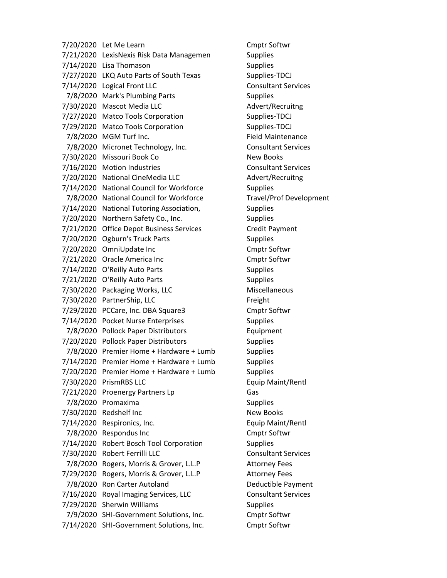7/20/2020 Let Me Learn Cmptr Softwr 7/21/2020 LexisNexis Risk Data Managemen Supplies 7/14/2020 Lisa Thomason Supplies 7/27/2020 LKQ Auto Parts of South Texas Supplies-TDCJ 7/14/2020 Logical Front LLC Consultant Services 7/8/2020 Mark's Plumbing Parts Supplies 7/30/2020 Mascot Media LLC Advert/Recruitng 7/27/2020 Matco Tools Corporation Supplies-TDCJ 7/29/2020 Matco Tools Corporation Supplies-TDCJ 7/8/2020 MGM Turf Inc. The State of the Field Maintenance 7/8/2020 Micronet Technology, Inc. Consultant Services 7/30/2020 Missouri Book Co New Books 7/16/2020 Motion Industries Consultant Services 7/20/2020 National CineMedia LLC Advert/Recruitng 7/14/2020 National Council for Workforce Supplies 7/8/2020 National Council for Workforce Travel/Prof Development 7/14/2020 National Tutoring Association, Supplies 7/20/2020 Northern Safety Co., Inc. Supplies 7/21/2020 Office Depot Business Services Credit Payment 7/20/2020 Ogburn's Truck Parts Supplies 7/20/2020 OmniUpdate Inc Cmptr Softwr 7/21/2020 Oracle America Inc Cmptr Softwr 7/14/2020 O'Reilly Auto Parts Supplies 7/21/2020 O'Reilly Auto Parts Supplies 7/30/2020 Packaging Works, LLC Miscellaneous 7/30/2020 PartnerShip, LLC Freight 7/29/2020 PCCare, Inc. DBA Square3 Cmptr Softwr 7/14/2020 Pocket Nurse Enterprises Supplies 7/8/2020 Pollock Paper Distributors Equipment 7/20/2020 Pollock Paper Distributors Supplies 7/8/2020 Premier Home + Hardware + Lumb Supplies 7/14/2020 Premier Home + Hardware + Lumb Supplies 7/20/2020 Premier Home + Hardware + Lumb Supplies 7/30/2020 PrismRBS LLC Equip Maint/Rentl 7/21/2020 Proenergy Partners Lp Gas 7/8/2020 Promaxima Supplies 7/30/2020 Redshelf Inc New Books 7/14/2020 Respironics, Inc. Equip Maint/Rentl 7/8/2020 Respondus Inc Cmptr Softwr 7/14/2020 Robert Bosch Tool Corporation Supplies 7/30/2020 Robert Ferrilli LLC Consultant Services 7/8/2020 Rogers, Morris & Grover, L.L.P Attorney Fees 7/29/2020 Rogers, Morris & Grover, L.L.P Attorney Fees 7/8/2020 Ron Carter Autoland Deductible Payment 7/16/2020 Royal Imaging Services, LLC Consultant Services 7/29/2020 Sherwin Williams Supplies 7/9/2020 SHI‐Government Solutions, Inc. Cmptr Softwr 7/14/2020 SHI‐Government Solutions, Inc. Cmptr Softwr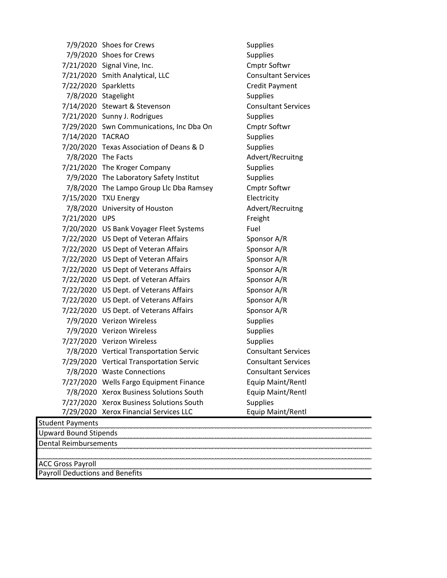7/9/2020 Shoes for Crews Supplies 7/9/2020 Shoes for Crews Supplies 7/21/2020 Signal Vine, Inc. Cmptr Softwr 7/21/2020 Smith Analytical, LLC Consultant Services 7/22/2020 Sparkletts Credit Payment 7/8/2020 Stagelight Supplies 7/14/2020 Stewart & Stevenson Consultant Services 7/21/2020 Sunny J. Rodrigues Supplies 7/29/2020 Swn Communications, Inc Dba On Cmptr Softwr 7/14/2020 TACRAO Supplies 7/20/2020 Texas Association of Deans & D Supplies 7/8/2020 The Facts Advert/Recruitng 7/21/2020 The Kroger Company Supplies 7/9/2020 The Laboratory Safety Institut Supplies 7/8/2020 The Lampo Group Llc Dba Ramsey Cmptr Softwr 7/15/2020 TXU Energy Electricity 7/8/2020 University of Houston Advert/Recruitng 7/21/2020 UPS Freight 7/20/2020 US Bank Voyager Fleet Systems Fuel 7/22/2020 US Dept of Veteran Affairs Sponsor A/R 7/22/2020 US Dept of Veteran Affairs Sponsor A/R 7/22/2020 US Dept of Veteran Affairs Sponsor A/R 7/22/2020 US Dept of Veterans Affairs Sponsor A/R 7/22/2020 US Dept. of Veteran Affairs Sponsor A/R 7/22/2020 US Dept. of Veterans Affairs Sponsor A/R 7/22/2020 US Dept. of Veterans Affairs Sponsor A/R 7/22/2020 US Dept. of Veterans Affairs Sponsor A/R 7/9/2020 Verizon Wireless Supplies 7/9/2020 Verizon Wireless Supplies 7/27/2020 Verizon Wireless Supplies 7/8/2020 Vertical Transportation Servic Consultant Services 7/29/2020 Vertical Transportation Servic Consultant Services 7/8/2020 Waste Connections Consultant Services 7/27/2020 Wells Fargo Equipment Finance Equip Maint/Rentl 7/8/2020 Xerox Business Solutions South Equip Maint/Rentl 7/27/2020 Xerox Business Solutions South Supplies 7/29/2020 Xerox Financial Services LLC Equip Maint/Rentl Student Payments Upward Bound Stipends Dental Reimbursements ACC Gross Payroll

Payroll Deductions and Benefits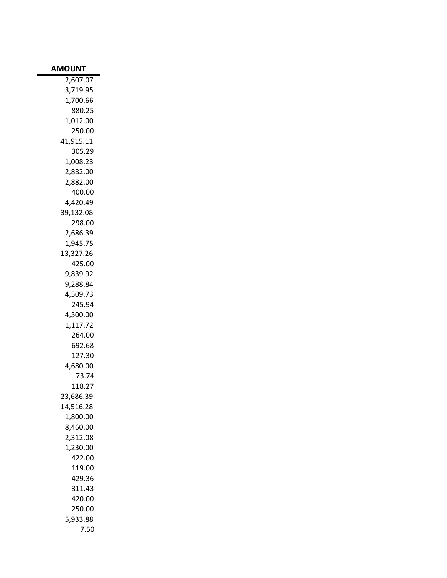| <b>AMOUNT</b> |
|---------------|
| 2,607.07      |
| 3,719.95      |
| 1,700.66      |
| 880.25        |
| 1,012.00      |
| 250.00        |
| 41,915.11     |
| 305.29        |
| 1,008.23      |
|               |
| 2,882.00      |
| 2,882.00      |
| 400.00        |
| 4,420.49      |
| 39,132.08     |
| 298.00        |
| 2,686.39      |
| 1,945.75      |
| 13,327.26     |
| 425.00        |
| 9,839.92      |
| 9,288.84      |
| 4,509.73      |
| 245.94        |
| 4,500.00      |
| 1,117.72      |
| 264.00        |
| 692.68        |
| 127.30        |
| 4,680.00      |
| 73.74         |
| 118.27        |
|               |
| 23,686.39     |
| 14,516.28     |
| 1,800.00      |
| 8,460.00      |
| 2,312.08      |
| 1,230.00      |
| 422.00        |
| 119.00        |
| 429.36        |
| 311.43        |
| 420.00        |
| 250.00        |
| 5,933.88      |
| 7.50          |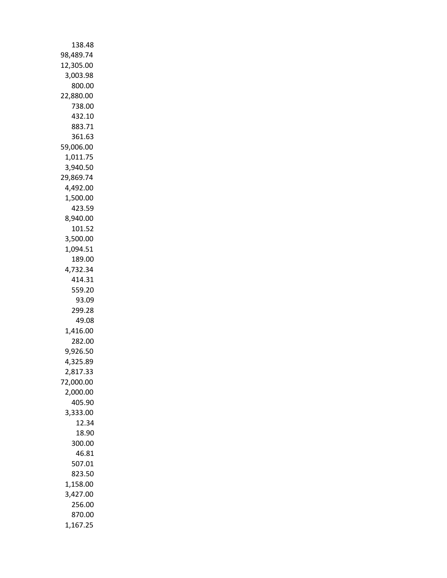| 138.48             |
|--------------------|
| 98,489.74          |
| 12,305.00          |
| 3,003.98           |
| 800.00             |
| 22,880.00          |
| 738.00             |
| 432.10             |
| 883.71             |
| 361.63             |
| 59,006.00          |
| 1,011.75           |
| 3,940.50           |
| 29,869.74          |
| 4,492.00           |
| 1,500.00<br>423.59 |
| 8,940.00           |
| 101.52             |
| 3,500.00           |
| 1,094.51           |
| 189.00             |
| 4,732.34           |
| 414.31             |
| 559.20             |
| 93.09              |
| 299.28             |
| 49.08              |
| 1,416.00           |
| 282.00             |
| 9,926.50           |
| 4,325.89           |
| 2,817.33           |
| 72,000.00          |
| 2,000.00           |
| 405.90             |
| 3,333.00           |
| 12.34              |
| 18.90              |
| 300.00             |
| 46.81              |
| 507.01             |
| 823.50             |
| 1,158.00           |
| 3,427.00<br>256.00 |
| 870.00             |
|                    |
| 1,167.25           |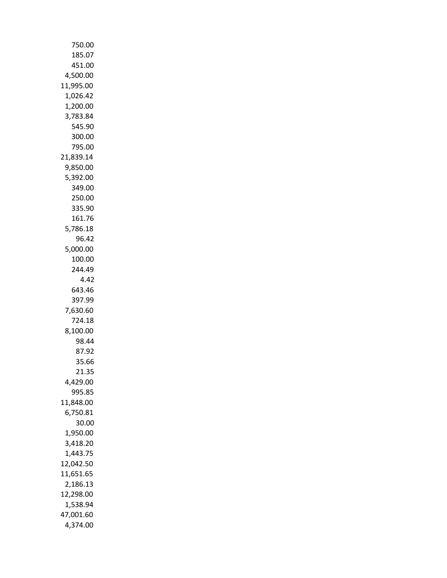| 750.00            |
|-------------------|
| 185.07            |
| 451.00            |
| 4,500.00          |
| 11,995.00         |
| 1,026.42          |
| 1,200.00          |
| 3,783.84          |
| 545.90            |
| 300.00            |
| 795.00            |
| 21,839.14         |
| 9,850.00          |
| 5,392.00          |
| 349.00            |
| 250.00            |
| 335.90            |
| 161.76            |
| 5,786.18          |
| 96.42             |
| 5,000.00          |
| 100.00            |
| 244.49<br>4.42    |
| 643.46            |
| 397.99            |
| 7,630.60          |
| 724.18            |
| 8,100.00          |
| 98.44             |
| 87.92             |
| 35.66             |
| 21.35             |
| 4,429.00          |
| 995.85            |
| 11,848.00         |
| 6,750.81          |
| 30.00<br>1,950.00 |
| 3,418.20          |
| 1,443.75          |
| 12,042.50         |
| 11,651.65         |
| 2,186.13          |
| 12,298.00         |
| 1,538.94          |
| 47,001.60         |
| 4,374.00          |